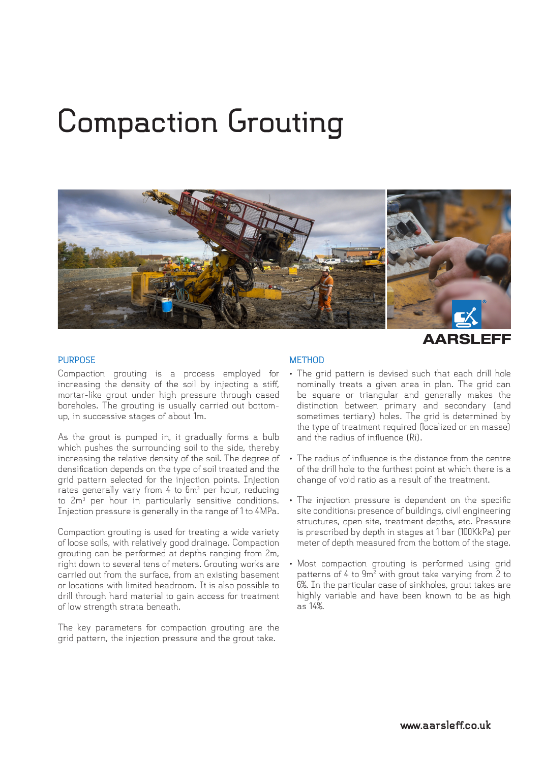## **Compaction Grouting**



AARSLEFF

## **PURPOSE**

Compaction grouting is a process employed for increasing the density of the soil by injecting a stiff, mortar-like grout under high pressure through cased boreholes. The grouting is usually carried out bottomup, in successive stages of about 1m.

As the grout is pumped in, it gradually forms a bulb which pushes the surrounding soil to the side, thereby increasing the relative density of the soil. The degree of densification depends on the type of soil treated and the grid pattern selected for the injection points. Injection rates generally vary from 4 to  $6m<sup>3</sup>$  per hour, reducing to 2m<sup>3</sup> per hour in particularly sensitive conditions. Injection pressure is generally in the range of 1 to 4MPa.

Compaction grouting is used for treating a wide variety of loose soils, with relatively good drainage. Compaction grouting can be performed at depths ranging from 2m, right down to several tens of meters. Grouting works are carried out from the surface, from an existing basement or locations with limited headroom. It is also possible to drill through hard material to gain access for treatment of low strength strata beneath.

The key parameters for compaction grouting are the grid pattern, the injection pressure and the grout take.

## **METHOD**

- The grid pattern is devised such that each drill hole nominally treats a given area in plan. The grid can be square or triangular and generally makes the distinction between primary and secondary (and sometimes tertiary) holes. The grid is determined by the type of treatment required (localized or en masse) and the radius of influence (Ri).
- The radius of influence is the distance from the centre of the drill hole to the furthest point at which there is a change of void ratio as a result of the treatment.
- The injection pressure is dependent on the specific site conditions: presence of buildings, civil engineering structures, open site, treatment depths, etc. Pressure is prescribed by depth in stages at 1 bar (100KkPa) per meter of depth measured from the bottom of the stage.
- Most compaction grouting is performed using grid patterns of 4 to  $9m^2$  with grout take varying from 2 to 6%. In the particular case of sinkholes, grout takes are highly variable and have been known to be as high as 14%.